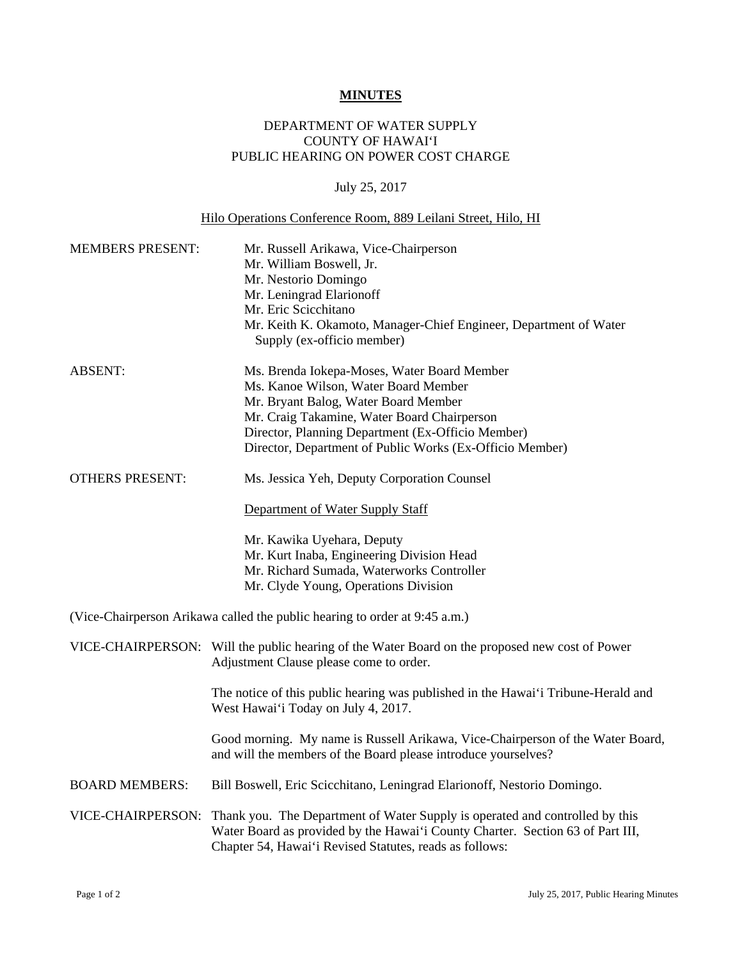## **MINUTES**

## DEPARTMENT OF WATER SUPPLY COUNTY OF HAWAI'I PUBLIC HEARING ON POWER COST CHARGE

## July 25, 2017

## Hilo Operations Conference Room, 889 Leilani Street, Hilo, HI

| <b>MEMBERS PRESENT:</b> | Mr. Russell Arikawa, Vice-Chairperson<br>Mr. William Boswell, Jr.<br>Mr. Nestorio Domingo<br>Mr. Leningrad Elarionoff<br>Mr. Eric Scicchitano<br>Mr. Keith K. Okamoto, Manager-Chief Engineer, Department of Water<br>Supply (ex-officio member)                                            |
|-------------------------|---------------------------------------------------------------------------------------------------------------------------------------------------------------------------------------------------------------------------------------------------------------------------------------------|
| <b>ABSENT:</b>          | Ms. Brenda Iokepa-Moses, Water Board Member<br>Ms. Kanoe Wilson, Water Board Member<br>Mr. Bryant Balog, Water Board Member<br>Mr. Craig Takamine, Water Board Chairperson<br>Director, Planning Department (Ex-Officio Member)<br>Director, Department of Public Works (Ex-Officio Member) |
| <b>OTHERS PRESENT:</b>  | Ms. Jessica Yeh, Deputy Corporation Counsel                                                                                                                                                                                                                                                 |
|                         | Department of Water Supply Staff                                                                                                                                                                                                                                                            |
|                         | Mr. Kawika Uyehara, Deputy<br>Mr. Kurt Inaba, Engineering Division Head<br>Mr. Richard Sumada, Waterworks Controller<br>Mr. Clyde Young, Operations Division                                                                                                                                |
|                         | (Vice-Chairperson Arikawa called the public hearing to order at 9:45 a.m.)                                                                                                                                                                                                                  |
|                         | VICE-CHAIRPERSON: Will the public hearing of the Water Board on the proposed new cost of Power<br>Adjustment Clause please come to order.                                                                                                                                                   |
|                         | The notice of this public hearing was published in the Hawai'i Tribune-Herald and<br>West Hawai'i Today on July 4, 2017.                                                                                                                                                                    |
|                         | Good morning. My name is Russell Arikawa, Vice-Chairperson of the Water Board,<br>and will the members of the Board please introduce yourselves?                                                                                                                                            |
| <b>BOARD MEMBERS:</b>   | Bill Boswell, Eric Scicchitano, Leningrad Elarionoff, Nestorio Domingo.                                                                                                                                                                                                                     |
| VICE-CHAIRPERSON:       | Thank you. The Department of Water Supply is operated and controlled by this<br>Water Board as provided by the Hawai'i County Charter. Section 63 of Part III,<br>Chapter 54, Hawai'i Revised Statutes, reads as follows:                                                                   |